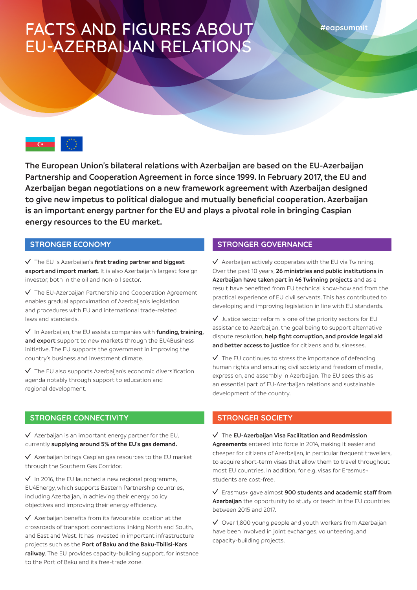# FACTS AND FIGURES ABOUT EU-AZERBAIJAN RELATIONS



**The European Union's bilateral relations with Azerbaijan are based on the EU-Azerbaijan Partnership and Cooperation Agreement in force since 1999. In February 2017, the EU and Azerbaijan began negotiations on a new framework agreement with Azerbaijan designed to give new impetus to political dialogue and mutually beneficial cooperation. Azerbaijan is an important energy partner for the EU and plays a pivotal role in bringing Caspian energy resources to the EU market.**

#### **STRONGER ECONOMY**

The EU is Azerbaijan's **first trading partner and biggest export and import market**. It is also Azerbaijan's largest foreign investor, both in the oil and non-oil sector.

 $\sqrt{\phantom{a}}$  The EU-Azerbaijan Partnership and Cooperation Agreement enables gradual approximation of Azerbaijan's legislation and procedures with EU and international trade-related laws and standards.

In Azerbaijan, the EU assists companies with **funding, training, and export** support to new markets through the EU4Business initiative. The EU supports the government in improving the country's business and investment climate.

 $\sqrt{\phantom{a}}$  The EU also supports Azerbaijan's economic diversification agenda notably through support to education and regional development.

### **STRONGER CONNECTIVITY**

 $\sqrt{\phantom{a}}$  Azerbaijan is an important energy partner for the EU, currently **supplying around 5% of the EU's gas demand.**

 $\sqrt{\phantom{a}}$  Azerbaijan brings Caspian gas resources to the EU market through the Southern Gas Corridor.

 $\sqrt{ }$  In 2016, the EU launched a new regional programme, EU4Energy, which supports Eastern Partnership countries, including Azerbaijan, in achieving their energy policy objectives and improving their energy efficiency.

 $\sqrt{\phantom{a}}$  Azerbaijan benefits from its favourable location at the crossroads of transport connections linking North and South, and East and West. It has invested in important infrastructure projects such as the **Port of Baku and the Baku-Tbilisi-Kars railway**. The EU provides capacity-building support, for instance to the Port of Baku and its free-trade zone.

### **STRONGER GOVERNANCE**

 $\sqrt{ }$  Azerbaijan actively cooperates with the EU via Twinning. Over the past 10 years, **26 ministries and public institutions in Azerbaijan have taken part in 46 Twinning projects** and as a result have benefited from EU technical know-how and from the practical experience of EU civil servants. This has contributed to developing and improving legislation in line with EU standards.

 $\sqrt{ }$  Justice sector reform is one of the priority sectors for EU assistance to Azerbaijan, the goal being to support alternative dispute resolution, **help fight corruption, and provide legal aid and better access to justice** for citizens and businesses.

 $\sqrt{ }$  The EU continues to stress the importance of defending human rights and ensuring civil society and freedom of media, expression, and assembly in Azerbaijan. The EU sees this as an essential part of EU-Azerbaijan relations and sustainable development of the country.

### **STRONGER SOCIETY**

The **EU-Azerbaijan Visa Facilitation and Readmission Agreements** entered into force in 2014, making it easier and cheaper for citizens of Azerbaijan, in particular frequent travellers, to acquire short-term visas that allow them to travel throughout most EU countries. In addition, for e.g. visas for Erasmus+ students are cost-free.

Erasmus+ gave almost **900 students and academic staff from Azerbaijan** the opportunity to study or teach in the EU countries between 2015 and 2017.

 $\sqrt{}$  Over 1,800 young people and youth workers from Azerbaijan have been involved in joint exchanges, volunteering, and capacity-building projects.